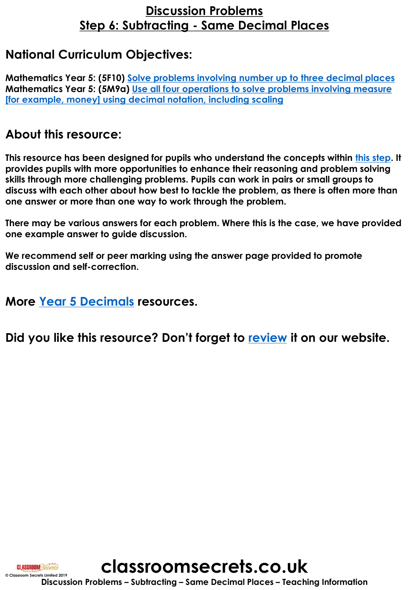### **Discussion Problems Step 6: Subtracting - Same Decimal Places**

#### **National Curriculum Objectives:**

**Mathematics Year 5: (5F10) [Solve problems involving number up to three decimal places](https://classroomsecrets.co.uk/content-domain-filter/?fwp_contentdomain=5f10) Mathematics Year 5: (5M9a) Use all four operations to solve problems involving measure [\[for example, money\] using decimal notation, including scaling](https://classroomsecrets.co.uk/content-domain-filter/?fwp_contentdomain=5m9a)**

#### **About this resource:**

**This resource has been designed for pupils who understand the concepts within [this step](https://classroomsecrets.co.uk/subtract-same-decimal-places-year-5-decimals-resource-pack/). It provides pupils with more opportunities to enhance their reasoning and problem solving skills through more challenging problems. Pupils can work in pairs or small groups to discuss with each other about how best to tackle the problem, as there is often more than one answer or more than one way to work through the problem.**

**There may be various answers for each problem. Where this is the case, we have provided one example answer to guide discussion.** 

**We recommend self or peer marking using the answer page provided to promote discussion and self-correction.**

**More [Year 5 Decimals](https://classroomsecrets.co.uk/category/maths/year-5/summer-block-1-decimals-year-5/) resources.**

**Did you like this resource? Don't forget to [review](http://decimals-year-5-subtracting-same-decimal-places-discussion-problems/) it on our website.**

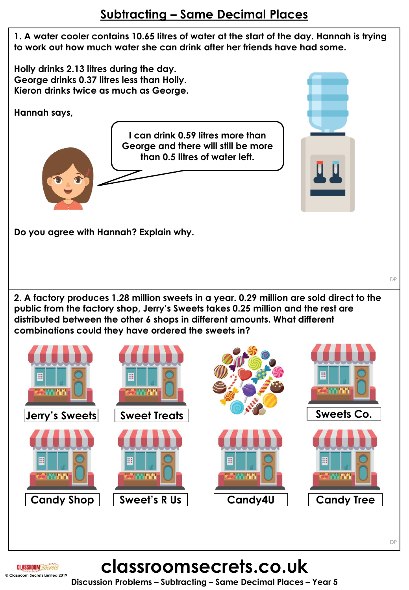## **Subtracting – Same Decimal Places**

**1. A water cooler contains 10.65 litres of water at the start of the day. Hannah is trying to work out how much water she can drink after her friends have had some.** 

**Holly drinks 2.13 litres during the day. George drinks 0.37 litres less than Holly. Kieron drinks twice as much as George.**

**Hannah says,**

**I can drink 0.59 litres more than George and there will still be more than 0.5 litres of water left.**

**Do you agree with Hannah? Explain why.**

**2. A factory produces 1.28 million sweets in a year. 0.29 million are sold direct to the public from the factory shop, Jerry's Sweets takes 0.25 million and the rest are distributed between the other 6 shops in different amounts. What different combinations could they have ordered the sweets in?**



# **classroomsecrets.co.uk**

**Discussion Problems – Subtracting – Same Decimal Places – Year 5**

DP